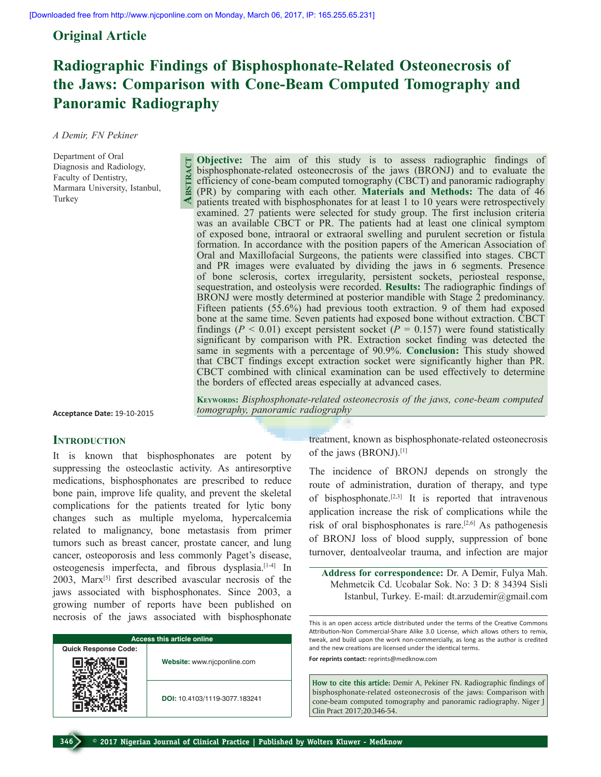# **Original Article**

# **Radiographic Findings of Bisphosphonate-Related Osteonecrosis of the Jaws: Comparison with Cone-Beam Computed Tomography and Panoramic Radiography**

*A Demir, FN Pekiner* 

Department of Oral Diagnosis and Radiology, Faculty of Dentistry, Marmara University, Istanbul, Turkey

**Objective:** The aim of this study is to assess radiographic findings of bisphosphonate-related osteonecrosis of the jaws (BRONJ) and to evaluate the efficiency of cone-beam computed tomography (CBCT) and panoramic radiography (PR) by comparing with each other. **Materials and Methods:** The data of 46 patients treated with bisphosphonates for at least 1 to 10 years were retrospectively examined. 27 patients were selected for study group. The first inclusion criteria was an available CBCT or PR. The patients had at least one clinical symptom of exposed bone, intraoral or extraoral swelling and purulent secretion or fistula formation. In accordance with the position papers of the American Association of Oral and Maxillofacial Surgeons, the patients were classified into stages. CBCT and PR images were evaluated by dividing the jaws in 6 segments. Presence of bone sclerosis, cortex irregularity, persistent sockets, periosteal response, sequestration, and osteolysis were recorded. **Results:** The radiographic findings of BRONJ were mostly determined at posterior mandible with Stage 2 predominancy. Fifteen patients (55.6%) had previous tooth extraction. 9 of them had exposed bone at the same time. Seven patients had exposed bone without extraction. CBCT findings ( $P < 0.01$ ) except persistent socket ( $P = 0.157$ ) were found statistically significant by comparison with PR. Extraction socket finding was detected the same in segments with a percentage of 90.9%. **Conclusion:** This study showed that CBCT findings except extraction socket were significantly higher than PR. CBCT combined with clinical examination can be used effectively to determine the borders of effected areas especially at advanced cases. **Abstract**

**Acceptance Date:** 19-10-2015

#### **Keywords:** *Bisphosphonate-related osteonecrosis of the jaws, cone-beam computed tomography, panoramic radiography*

#### **INTRODUCTION**

It is known that bisphosphonates are potent by suppressing the osteoclastic activity. As antiresorptive medications, bisphosphonates are prescribed to reduce bone pain, improve life quality, and prevent the skeletal complications for the patients treated for lytic bony changes such as multiple myeloma, hypercalcemia related to malignancy, bone metastasis from primer tumors such as breast cancer, prostate cancer, and lung cancer, osteoporosis and less commonly Paget's disease, osteogenesis imperfecta, and fibrous dysplasia.[1-4] In 2003, Marx<sup>[5]</sup> first described avascular necrosis of the jaws associated with bisphosphonates. Since 2003, a growing number of reports have been published on necrosis of the jaws associated with bisphosphonate

| <b>Access this article online</b> |                               |  |  |
|-----------------------------------|-------------------------------|--|--|
| <b>Quick Response Code:</b>       |                               |  |  |
|                                   | Website: www.njcponline.com   |  |  |
|                                   | DOI: 10.4103/1119-3077.183241 |  |  |

treatment, known as bisphosphonate-related osteonecrosis of the jaws (BRONJ).[1]

The incidence of BRONJ depends on strongly the route of administration, duration of therapy, and type of bisphosphonate.<sup>[2,3]</sup> It is reported that intravenous application increase the risk of complications while the risk of oral bisphosphonates is rare.<sup>[2,6]</sup> As pathogenesis of BRONJ loss of blood supply, suppression of bone turnover, dentoalveolar trauma, and infection are major

**Address for correspondence:** Dr. A Demir, Fulya Mah. Mehmetcik Cd. Ucobalar Sok. No: 3 D: 8 34394 Sisli Istanbul, Turkey. E-mail: dt.arzudemir@gmail.com

This is an open access article distributed under the terms of the Creative Commons Attribution-Non Commercial-Share Alike 3.0 License, which allows others to remix, tweak, and build upon the work non-commercially, as long as the author is credited and the new creations are licensed under the identical terms.

**For reprints contact:** reprints@medknow.com

**How to cite this article:** Demir A, Pekiner FN. Radiographic findings of bisphosphonate-related osteonecrosis of the jaws: Comparison with cone-beam computed tomography and panoramic radiography. Niger J Clin Pract 2017;20:346-54.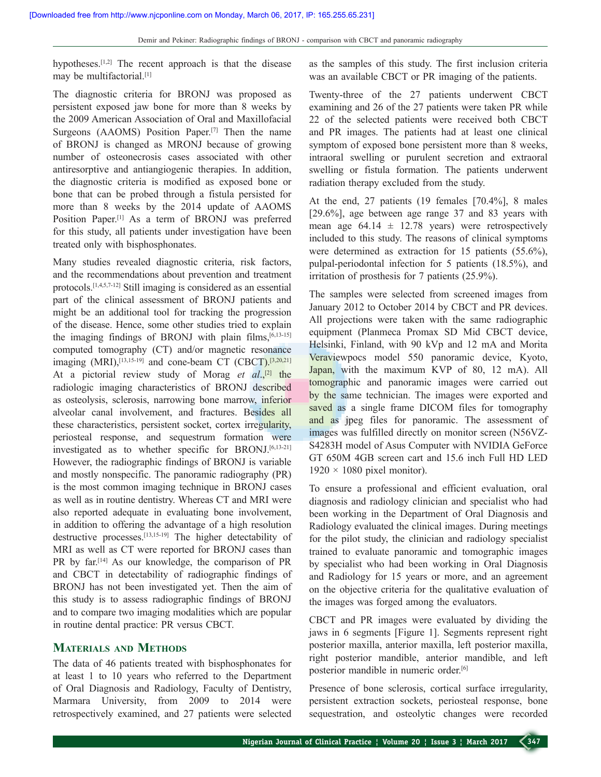hypotheses.<sup>[1,2]</sup> The recent approach is that the disease may be multifactorial.[1]

The diagnostic criteria for BRONJ was proposed as persistent exposed jaw bone for more than 8 weeks by the 2009 American Association of Oral and Maxillofacial Surgeons (AAOMS) Position Paper.<sup>[7]</sup> Then the name of BRONJ is changed as MRONJ because of growing number of osteonecrosis cases associated with other antiresorptive and antiangiogenic therapies. In addition, the diagnostic criteria is modified as exposed bone or bone that can be probed through a fistula persisted for more than 8 weeks by the 2014 update of AAOMS Position Paper.[1] As a term of BRONJ was preferred for this study, all patients under investigation have been treated only with bisphosphonates.

Many studies revealed diagnostic criteria, risk factors, and the recommendations about prevention and treatment protocols.[1,4,5,7-12] Still imaging is considered as an essential part of the clinical assessment of BRONJ patients and might be an additional tool for tracking the progression of the disease. Hence, some other studies tried to explain the imaging findings of BRONJ with plain films, $[6,13-15]$ computed tomography (CT) and/or magnetic resonance imaging  $(MRI)$ ,  $[13,15-19]$  and cone-beam CT  $(CBCT)$ ,  $[3,20,21]$ At a pictorial review study of Morag *et al.*<sup>[2]</sup> the radiologic imaging characteristics of BRONJ described as osteolysis, sclerosis, narrowing bone marrow, inferior alveolar canal involvement, and fractures. Besides all these characteristics, persistent socket, cortex irregularity, periosteal response, and sequestrum formation were investigated as to whether specific for BRONJ.<sup>[6,13-21]</sup> However, the radiographic findings of BRONJ is variable and mostly nonspecific. The panoramic radiography (PR) is the most common imaging technique in BRONJ cases as well as in routine dentistry. Whereas CT and MRI were also reported adequate in evaluating bone involvement, in addition to offering the advantage of a high resolution destructive processes.[13,15-19] The higher detectability of MRI as well as CT were reported for BRONJ cases than PR by far.<sup>[14]</sup> As our knowledge, the comparison of PR and CBCT in detectability of radiographic findings of BRONJ has not been investigated yet. Then the aim of this study is to assess radiographic findings of BRONJ and to compare two imaging modalities which are popular in routine dental practice: PR versus CBCT.

## **Materials and Methods**

The data of 46 patients treated with bisphosphonates for at least 1 to 10 years who referred to the Department of Oral Diagnosis and Radiology, Faculty of Dentistry, Marmara University, from 2009 to 2014 were retrospectively examined, and 27 patients were selected

as the samples of this study. The first inclusion criteria was an available CBCT or PR imaging of the patients.

Twenty-three of the 27 patients underwent CBCT examining and 26 of the 27 patients were taken PR while 22 of the selected patients were received both CBCT and PR images. The patients had at least one clinical symptom of exposed bone persistent more than 8 weeks, intraoral swelling or purulent secretion and extraoral swelling or fistula formation. The patients underwent radiation therapy excluded from the study.

At the end, 27 patients (19 females [70.4%], 8 males [29.6%], age between age range 37 and 83 years with mean age  $64.14 \pm 12.78$  years) were retrospectively included to this study. The reasons of clinical symptoms were determined as extraction for 15 patients (55.6%), pulpal-periodontal infection for 5 patients (18.5%), and irritation of prosthesis for 7 patients (25.9%).

The samples were selected from screened images from January 2012 to October 2014 by CBCT and PR devices. All projections were taken with the same radiographic equipment (Planmeca Promax SD Mid CBCT device, Helsinki, Finland, with 90 kVp and 12 mA and Morita Veraviewpocs model 550 panoramic device, Kyoto, Japan, with the maximum KVP of 80, 12 mA). All tomographic and panoramic images were carried out by the same technician. The images were exported and saved as a single frame DICOM files for tomography and as jpeg files for panoramic. The assessment of images was fulfilled directly on monitor screen (N56VZ-S4283H model of Asus Computer with NVIDIA GeForce GT 650M 4GB screen cart and 15.6 inch Full HD LED  $1920 \times 1080$  pixel monitor).

To ensure a professional and efficient evaluation, oral diagnosis and radiology clinician and specialist who had been working in the Department of Oral Diagnosis and Radiology evaluated the clinical images. During meetings for the pilot study, the clinician and radiology specialist trained to evaluate panoramic and tomographic images by specialist who had been working in Oral Diagnosis and Radiology for 15 years or more, and an agreement on the objective criteria for the qualitative evaluation of the images was forged among the evaluators.

CBCT and PR images were evaluated by dividing the jaws in 6 segments [Figure 1]. Segments represent right posterior maxilla, anterior maxilla, left posterior maxilla, right posterior mandible, anterior mandible, and left posterior mandible in numeric order.[6]

Presence of bone sclerosis, cortical surface irregularity, persistent extraction sockets, periosteal response, bone sequestration, and osteolytic changes were recorded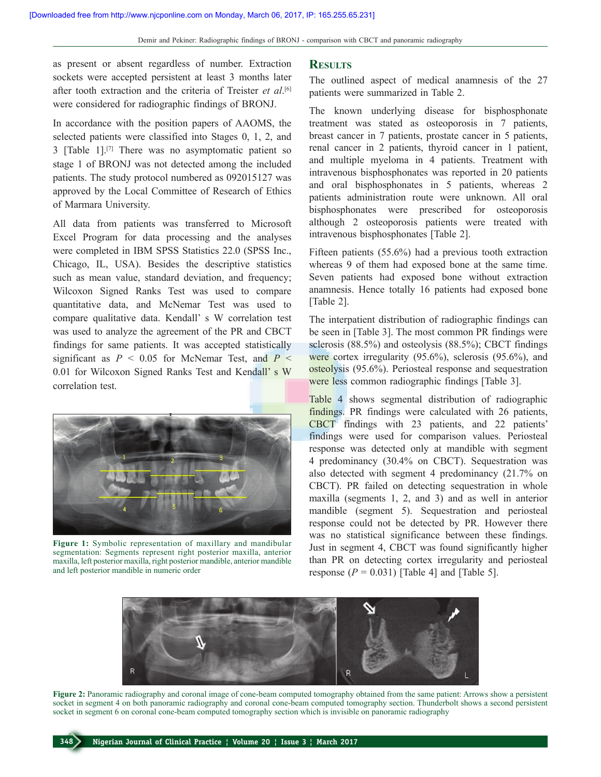as present or absent regardless of number. Extraction sockets were accepted persistent at least 3 months later after tooth extraction and the criteria of Treister *et al*. [6] were considered for radiographic findings of BRONJ.

In accordance with the position papers of AAOMS, the selected patients were classified into Stages 0, 1, 2, and 3 [Table 1].[7] There was no asymptomatic patient so stage 1 of BRONJ was not detected among the included patients. The study protocol numbered as 092015127 was approved by the Local Committee of Research of Ethics of Marmara University.

All data from patients was transferred to Microsoft Excel Program for data processing and the analyses were completed in IBM SPSS Statistics 22.0 (SPSS Inc., Chicago, IL, USA). Besides the descriptive statistics such as mean value, standard deviation, and frequency; Wilcoxon Signed Ranks Test was used to compare quantitative data, and McNemar Test was used to compare qualitative data. Kendall' s W correlation test was used to analyze the agreement of the PR and CBCT findings for same patients. It was accepted statistically significant as  $P < 0.05$  for McNemar Test, and  $P <$ 0.01 for Wilcoxon Signed Ranks Test and Kendall' s W correlation test.



**Figure 1:** Symbolic representation of maxillary and mandibular segmentation: Segments represent right posterior maxilla, anterior maxilla, left posterior maxilla, right posterior mandible, anterior mandible and left posterior mandible in numeric order

#### **Results**

The outlined aspect of medical anamnesis of the 27 patients were summarized in Table 2.

The known underlying disease for bisphosphonate treatment was stated as osteoporosis in 7 patients, breast cancer in 7 patients, prostate cancer in 5 patients, renal cancer in 2 patients, thyroid cancer in 1 patient, and multiple myeloma in 4 patients. Treatment with intravenous bisphosphonates was reported in 20 patients and oral bisphosphonates in 5 patients, whereas 2 patients administration route were unknown. All oral bisphosphonates were prescribed for osteoporosis although 2 osteoporosis patients were treated with intravenous bisphosphonates [Table 2].

Fifteen patients (55.6%) had a previous tooth extraction whereas 9 of them had exposed bone at the same time. Seven patients had exposed bone without extraction anamnesis. Hence totally 16 patients had exposed bone [Table 2].

The interpatient distribution of radiographic findings can be seen in [Table 3]. The most common PR findings were sclerosis (88.5%) and osteolysis (88.5%); CBCT findings were cortex irregularity (95.6%), sclerosis (95.6%), and osteolysis (95.6%). Periosteal response and sequestration were less common radiographic findings [Table 3].

Table 4 shows segmental distribution of radiographic findings. PR findings were calculated with 26 patients, CBCT findings with 23 patients, and 22 patients' findings were used for comparison values. Periosteal response was detected only at mandible with segment 4 predominancy (30.4% on CBCT). Sequestration was also detected with segment 4 predominancy (21.7% on CBCT). PR failed on detecting sequestration in whole maxilla (segments 1, 2, and 3) and as well in anterior mandible (segment 5). Sequestration and periosteal response could not be detected by PR. However there was no statistical significance between these findings. Just in segment 4, CBCT was found significantly higher than PR on detecting cortex irregularity and periosteal response  $(P = 0.031)$  [Table 4] and [Table 5].



**Figure 2:** Panoramic radiography and coronal image of cone-beam computed tomography obtained from the same patient: Arrows show a persistent socket in segment 4 on both panoramic radiography and coronal cone-beam computed tomography section. Thunderbolt shows a second persistent socket in segment 6 on coronal cone-beam computed tomography section which is invisible on panoramic radiography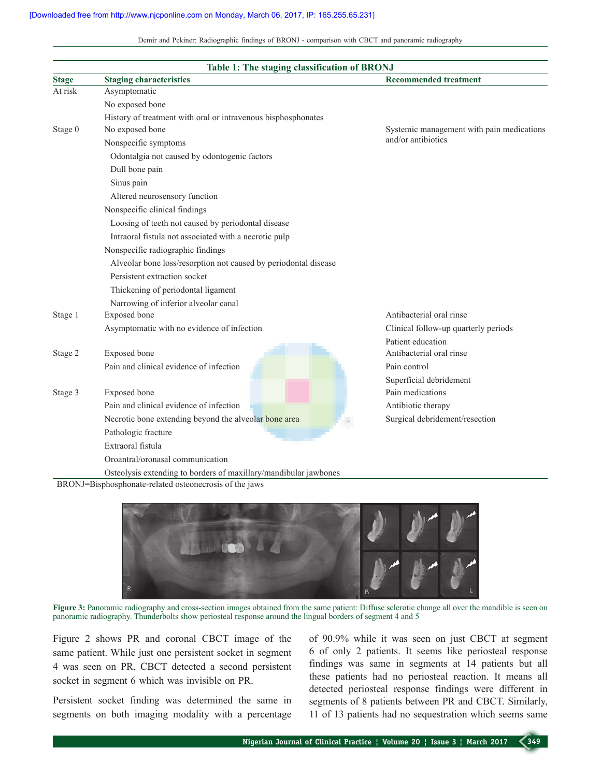Demir and Pekiner: Radiographic findings of BRONJ - comparison with CBCT and panoramic radiography

| <b>Stage</b> | Table 1: The staging classification of BRONJ<br><b>Staging characteristics</b>                       | <b>Recommended treatment</b>              |
|--------------|------------------------------------------------------------------------------------------------------|-------------------------------------------|
| At risk      | Asymptomatic                                                                                         |                                           |
|              | No exposed bone                                                                                      |                                           |
|              |                                                                                                      |                                           |
| Stage 0      | History of treatment with oral or intravenous bisphosphonates<br>No exposed bone                     | Systemic management with pain medications |
|              | Nonspecific symptoms                                                                                 | and/or antibiotics                        |
|              | Odontalgia not caused by odontogenic factors                                                         |                                           |
|              |                                                                                                      |                                           |
|              | Dull bone pain                                                                                       |                                           |
|              | Sinus pain                                                                                           |                                           |
|              | Altered neurosensory function                                                                        |                                           |
|              | Nonspecific clinical findings<br>Loosing of teeth not caused by periodontal disease                  |                                           |
|              |                                                                                                      |                                           |
|              | Intraoral fistula not associated with a necrotic pulp                                                |                                           |
|              | Nonspecific radiographic findings<br>Alveolar bone loss/resorption not caused by periodontal disease |                                           |
|              |                                                                                                      |                                           |
|              | Persistent extraction socket                                                                         |                                           |
|              | Thickening of periodontal ligament                                                                   |                                           |
|              | Narrowing of inferior alveolar canal                                                                 |                                           |
| Stage 1      | Exposed bone                                                                                         | Antibacterial oral rinse                  |
|              | Asymptomatic with no evidence of infection                                                           | Clinical follow-up quarterly periods      |
|              |                                                                                                      | Patient education                         |
| Stage 2      | Exposed bone                                                                                         | Antibacterial oral rinse                  |
|              | Pain and clinical evidence of infection                                                              | Pain control                              |
|              |                                                                                                      | Superficial debridement                   |
| Stage 3      | Exposed bone                                                                                         | Pain medications                          |
|              | Pain and clinical evidence of infection                                                              | Antibiotic therapy                        |
|              | Necrotic bone extending beyond the alveolar bone area                                                | Surgical debridement/resection<br>×.      |
|              | Pathologic fracture                                                                                  |                                           |
|              | Extraoral fistula                                                                                    |                                           |
|              | Oroantral/oronasal communication                                                                     |                                           |
|              | Osteolysis extending to borders of maxillary/mandibular jawbones                                     |                                           |



**Figure 3:** Panoramic radiography and cross-section images obtained from the same patient: Diffuse sclerotic change all over the mandible is seen on panoramic radiography. Thunderbolts show periosteal response around the lingual borders of segment 4 and 5

Figure 2 shows PR and coronal CBCT image of the same patient. While just one persistent socket in segment 4 was seen on PR, CBCT detected a second persistent socket in segment 6 which was invisible on PR.

Persistent socket finding was determined the same in segments on both imaging modality with a percentage of 90.9% while it was seen on just CBCT at segment 6 of only 2 patients. It seems like periosteal response findings was same in segments at 14 patients but all these patients had no periosteal reaction. It means all detected periosteal response findings were different in segments of 8 patients between PR and CBCT. Similarly, 11 of 13 patients had no sequestration which seems same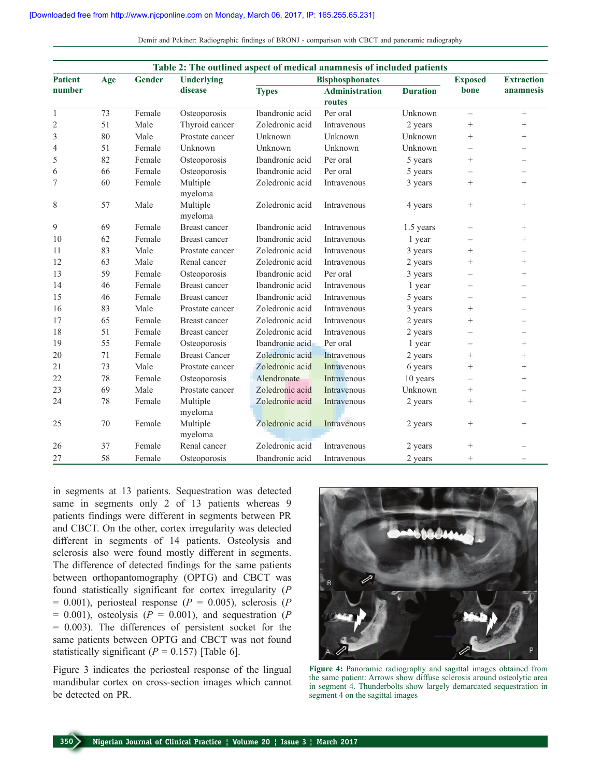Demir and Pekiner: Radiographic findings of BRONJ - comparison with CBCT and panoramic radiography

| Table 2: The outlined aspect of medical anamnesis of included patients |     |               |                      |                 |                        |                 |                                  |                          |
|------------------------------------------------------------------------|-----|---------------|----------------------|-----------------|------------------------|-----------------|----------------------------------|--------------------------|
| <b>Patient</b>                                                         | Age | <b>Gender</b> | <b>Underlying</b>    |                 | <b>Bisphosphonates</b> |                 |                                  | <b>Extraction</b>        |
| number                                                                 |     |               | disease              | <b>Types</b>    | <b>Administration</b>  | <b>Duration</b> | bone                             | anamnesis                |
|                                                                        |     |               |                      |                 | routes                 |                 |                                  |                          |
| $\mathbf{1}$                                                           | 73  | Female        | Osteoporosis         | Ibandronic acid | Per oral               | Unknown         | $\overline{\phantom{0}}$         | $+$                      |
| $\overline{c}$                                                         | 51  | Male          | Thyroid cancer       | Zoledronic acid | Intravenous            | 2 years         | $+$                              | $^{+}$                   |
| 3                                                                      | 80  | Male          | Prostate cancer      | Unknown         | Unknown                | Unknown         | $+$                              | $^{+}$                   |
| $\overline{4}$                                                         | 51  | Female        | Unknown              | Unknown         | Unknown                | Unknown         | $\overline{\phantom{0}}$         |                          |
| 5                                                                      | 82  | Female        | Osteoporosis         | Ibandronic acid | Per oral               | 5 years         | $^{+}$                           |                          |
| 6                                                                      | 66  | Female        | Osteoporosis         | Ibandronic acid | Per oral               | 5 years         | $\overbrace{\phantom{12322111}}$ | $\overline{\phantom{0}}$ |
| 7                                                                      | 60  | Female        | Multiple<br>myeloma  | Zoledronic acid | Intravenous            | 3 years         | $^{+}$                           | $^{+}$                   |
| 8                                                                      | 57  | Male          | Multiple<br>myeloma  | Zoledronic acid | Intravenous            | 4 years         |                                  | $^{+}$                   |
| 9                                                                      | 69  | Female        | Breast cancer        | Ibandronic acid | Intravenous            | 1.5 years       | $\overbrace{\phantom{12322111}}$ | $^{+}$                   |
| 10                                                                     | 62  | Female        | <b>Breast cancer</b> | Ibandronic acid | Intravenous            | 1 year          |                                  | $^{+}$                   |
| 11                                                                     | 83  | Male          | Prostate cancer      | Zoledronic acid | Intravenous            | 3 years         | $^{+}$                           |                          |
| 12                                                                     | 63  | Male          | Renal cancer         | Zoledronic acid | Intravenous            | 2 years         | $^{+}$                           | $^{+}$                   |
| 13                                                                     | 59  | Female        | Osteoporosis         | Ibandronic acid | Per oral               | 3 years         | $\overline{\phantom{0}}$         | $^{+}$                   |
| 14                                                                     | 46  | Female        | <b>Breast cancer</b> | Ibandronic acid | Intravenous            | 1 year          | $\overbrace{\phantom{1232211}}$  | $\overline{\phantom{0}}$ |
| 15                                                                     | 46  | Female        | <b>Breast cancer</b> | Ibandronic acid | Intravenous            | 5 years         | $\overline{\phantom{0}}$         |                          |
| 16                                                                     | 83  | Male          | Prostate cancer      | Zoledronic acid | Intravenous            | 3 years         | $^{+}$                           |                          |
| 17                                                                     | 65  | Female        | Breast cancer        | Zoledronic acid | Intravenous            | 2 years         | $\! + \!\!\!\!$                  |                          |
| 18                                                                     | 51  | Female        | Breast cancer        | Zoledronic acid | Intravenous            | 2 years         | $\overline{\phantom{0}}$         |                          |
| 19                                                                     | 55  | Female        | Osteoporosis         | Ibandronic acid | Per oral               | 1 year          | $\overline{\phantom{0}}$         | $^{+}$                   |
| 20                                                                     | 71  | Female        | <b>Breast Cancer</b> | Zoledronic acid | Intravenous            | 2 years         | $\! + \!\!\!\!$                  | $^{+}$                   |
| 21                                                                     | 73  | Male          | Prostate cancer      | Zoledronic acid | Intravenous            | 6 years         | $^{+}$                           | $^{+}$                   |
| 22                                                                     | 78  | Female        | Osteoporosis         | Alendronate     | Intravenous            | 10 years        | $\overline{\phantom{0}}$         | $^{+}$                   |
| 23                                                                     | 69  | Male          | Prostate cancer      | Zoledronic acid | Intravenous            | Unknown         | $\! + \!\!\!\!$                  |                          |
| 24                                                                     | 78  | Female        | Multiple<br>myeloma  | Zoledronic acid | Intravenous            | 2 years         | $^{+}$                           | $^{+}$                   |
| 25                                                                     | 70  | Female        | Multiple<br>myeloma  | Zoledronic acid | Intravenous            | 2 years         | $^{+}$                           | $^{+}$                   |
| 26                                                                     | 37  | Female        | Renal cancer         | Zoledronic acid | Intravenous            | 2 years         | $\! + \!\!\!\!$                  |                          |
| 27                                                                     | 58  | Female        | Osteoporosis         | Ibandronic acid | Intravenous            | 2 years         | $\! + \!\!\!\!$                  |                          |

in segments at 13 patients. Sequestration was detected same in segments only 2 of 13 patients whereas 9 patients findings were different in segments between PR and CBCT. On the other, cortex irregularity was detected different in segments of 14 patients. Osteolysis and sclerosis also were found mostly different in segments. The difference of detected findings for the same patients between orthopantomography (OPTG) and CBCT was found statistically significant for cortex irregularity (*P*  $= 0.001$ ), periosteal response ( $P = 0.005$ ), sclerosis ( $P = 0.001$ )  $= 0.001$ ), osteolysis ( $P = 0.001$ ), and sequestration ( $P$ = 0.003). The differences of persistent socket for the same patients between OPTG and CBCT was not found statistically significant  $(P = 0.157)$  [Table 6].

Figure 3 indicates the periosteal response of the lingual mandibular cortex on cross-section images which cannot be detected on PR.



**Figure 4:** Panoramic radiography and sagittal images obtained from the same patient: Arrows show diffuse sclerosis around osteolytic area in segment 4. Thunderbolts show largely demarcated sequestration in segment 4 on the sagittal images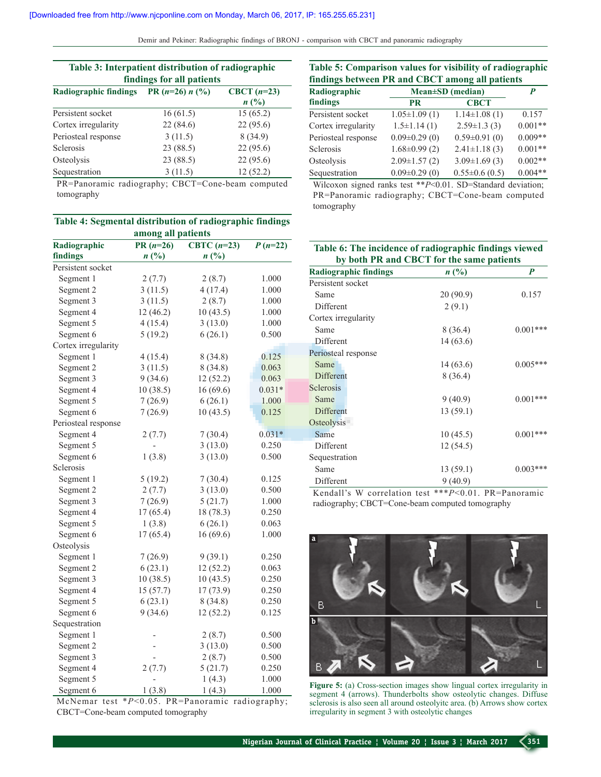Demir and Pekiner: Radiographic findings of BRONJ ‑ comparison with CBCT and panoramic radiography

| Table 3: Interpatient distribution of radiographic<br>findings for all patients |                   |                                 |  |  |
|---------------------------------------------------------------------------------|-------------------|---------------------------------|--|--|
| <b>Radiographic findings</b>                                                    | PR $(n=26) n$ (%) | CBCT $(n=23)$<br>$n(^{0}/_{0})$ |  |  |
| Persistent socket                                                               | 16(61.5)          | 15(65.2)                        |  |  |
| Cortex irregularity                                                             | 22(84.6)          | 22(95.6)                        |  |  |
| Periosteal response                                                             | 3(11.5)           | 8(34.9)                         |  |  |
| <b>Sclerosis</b>                                                                | 23 (88.5)         | 22(95.6)                        |  |  |
| Osteolysis                                                                      | 23 (88.5)         | 22(95.6)                        |  |  |
| Sequestration                                                                   | 3(11.5)           | 12(52.2)                        |  |  |

PR=Panoramic radiography; CBCT=Cone-beam computed tomography

| Table 5: Comparison values for visibility of radiographic |                    |                        |           |  |
|-----------------------------------------------------------|--------------------|------------------------|-----------|--|
| findings between PR and CBCT among all patients           |                    |                        |           |  |
| Radiographic                                              |                    | $Mean \pm SD$ (median) | P         |  |
| findings                                                  | <b>PR</b>          | <b>CBCT</b>            |           |  |
| Persistent socket                                         | $1.05 \pm 1.09(1)$ | $1.14\pm1.08(1)$       | 0.157     |  |
| Cortex irregularity                                       | $1.5 \pm 1.14(1)$  | $2.59 \pm 1.3$ (3)     | $0.001**$ |  |
| Periosteal response                                       | $0.09\pm0.29(0)$   | $0.59 \pm 0.91(0)$     | $0.009**$ |  |
| Sclerosis                                                 | $1.68 \pm 0.99(2)$ | $2.41 \pm 1.18(3)$     | $0.001**$ |  |
| Osteolysis                                                | $2.09 \pm 1.57(2)$ | $3.09 \pm 1.69(3)$     | $0.002**$ |  |
| Sequestration                                             | $0.09\pm0.29(0)$   | $0.55 \pm 0.6$ (0.5)   | $0.004**$ |  |

Wilcoxon signed ranks test \*\**P*<0.01. SD=Standard deviation; PR=Panoramic radiography; CBCT=Cone-beam computed tomography

| Table 4: Segmental distribution of radiographic findings |                             |                             |           |  |
|----------------------------------------------------------|-----------------------------|-----------------------------|-----------|--|
| among all patients                                       |                             |                             |           |  |
| Radiographic                                             | CBTC $(n=23)$<br>$PR(n=26)$ |                             | $P(n=22)$ |  |
| findings                                                 | $n(^{0}/_{0})$              | $n\left(\frac{0}{0}\right)$ |           |  |
| Persistent socket                                        |                             |                             |           |  |
| Segment 1                                                | 2(7.7)                      | 2(8.7)                      | 1.000     |  |
| Segment 2                                                | 3(11.5)                     | 4(17.4)                     | 1.000     |  |
| Segment 3                                                | 3(11.5)                     | 2(8.7)                      | 1.000     |  |
| Segment 4                                                | 12(46.2)                    | 10(43.5)                    | 1.000     |  |
| Segment 5                                                | 4(15.4)                     | 3(13.0)                     | 1.000     |  |
| Segment 6                                                | 5(19.2)                     | 6(26.1)                     | 0.500     |  |
| Cortex irregularity                                      |                             |                             |           |  |
| Segment 1                                                | 4(15.4)                     | 8(34.8)                     | 0.125     |  |
| Segment 2                                                | 3(11.5)                     | 8(34.8)                     | 0.063     |  |
| Segment 3                                                | 9(34.6)                     | 12(52.2)                    | 0.063     |  |
| Segment 4                                                | 10(38.5)                    | 16(69.6)                    | $0.031*$  |  |
| Segment 5                                                | 7(26.9)                     | 6(26.1)                     | 1.000     |  |
| Segment 6                                                | 7(26.9)                     | 10(43.5)                    | 0.125     |  |
| Periosteal response                                      |                             |                             |           |  |
| Segment 4                                                | 2(7.7)                      | 7(30.4)                     | $0.031*$  |  |
| Segment 5                                                |                             | 3(13.0)                     | 0.250     |  |
| Segment 6                                                | 1(3.8)                      | 3(13.0)                     | 0.500     |  |
| Sclerosis                                                |                             |                             |           |  |
| Segment 1                                                | 5(19.2)                     | 7(30.4)                     | 0.125     |  |
| Segment 2                                                | 2(7.7)                      | 3(13.0)                     | 0.500     |  |
| Segment 3                                                | 7(26.9)                     | 5(21.7)                     | 1.000     |  |
| Segment 4                                                | 17(65.4)                    | 18 (78.3)                   | 0.250     |  |
| Segment 5                                                | 1(3.8)                      | 6(26.1)                     | 0.063     |  |
| Segment 6                                                | 17(65.4)                    | 16(69.6)                    | 1.000     |  |
| Osteolysis                                               |                             |                             |           |  |
| Segment 1                                                | 7(26.9)                     | 9(39.1)                     | 0.250     |  |
| Segment 2                                                | 6(23.1)                     | 12(52.2)                    | 0.063     |  |
| Segment 3                                                | 10(38.5)                    | 10(43.5)                    | 0.250     |  |
| Segment 4                                                | 15 (57.7)                   | 17(73.9)                    | 0.250     |  |
| Segment 5                                                | 6(23.1)                     | 8(34.8)                     | 0.250     |  |
| Segment 6                                                | 9(34.6)                     | 12(52.2)                    | 0.125     |  |
| Sequestration                                            |                             |                             |           |  |
| Segment 1                                                |                             | 2(8.7)                      | 0.500     |  |
| Segment 2                                                |                             | 3(13.0)                     | 0.500     |  |
| Segment 3                                                |                             | 2(8.7)                      | 0.500     |  |
| Segment 4                                                | 2(7.7)                      | 5(21.7)                     | 0.250     |  |
| Segment 5                                                |                             | 1(4.3)                      | 1.000     |  |
| Segment 6                                                | 1(3.8)                      | 1(4.3)                      | 1.000     |  |

McNemar test \**P*<0.05. PR=Panoramic radiography; CBCT=Cone-beam computed tomography

| Table 6: The incidence of radiographic findings viewed<br>by both PR and CBCT for the same patients |          |            |  |
|-----------------------------------------------------------------------------------------------------|----------|------------|--|
|                                                                                                     |          |            |  |
| Persistent socket                                                                                   |          |            |  |
| Same                                                                                                | 20(90.9) | 0.157      |  |
| Different                                                                                           | 2(9.1)   |            |  |
| Cortex irregularity                                                                                 |          |            |  |
| Same                                                                                                | 8 (36.4) | $0.001***$ |  |
| Different                                                                                           | 14(63.6) |            |  |
| Periosteal response                                                                                 |          |            |  |
| Same                                                                                                | 14(63.6) | $0.005***$ |  |
| Different                                                                                           | 8(36.4)  |            |  |
| Sclerosis                                                                                           |          |            |  |
| Same                                                                                                | 9(40.9)  | $0.001***$ |  |
| Different                                                                                           | 13(59.1) |            |  |
| Osteolysis                                                                                          |          |            |  |
| Same                                                                                                | 10(45.5) | $0.001***$ |  |
| Different                                                                                           | 12(54.5) |            |  |
| Sequestration                                                                                       |          |            |  |
| Same                                                                                                | 13(59.1) | $0.003***$ |  |
| Different                                                                                           | 9(40.9)  |            |  |

Kendall's W correlation test \*\*\**P*<0.01. PR=Panoramic radiography; CBCT=Cone-beam computed tomography



**Figure 5:** (a) Cross-section images show lingual cortex irregularity in segment 4 (arrows). Thunderbolts show osteolytic changes. Diffuse sclerosis is also seen all around osteolyitc area. (b) Arrows show cortex irregularity in segment 3 with osteolytic changes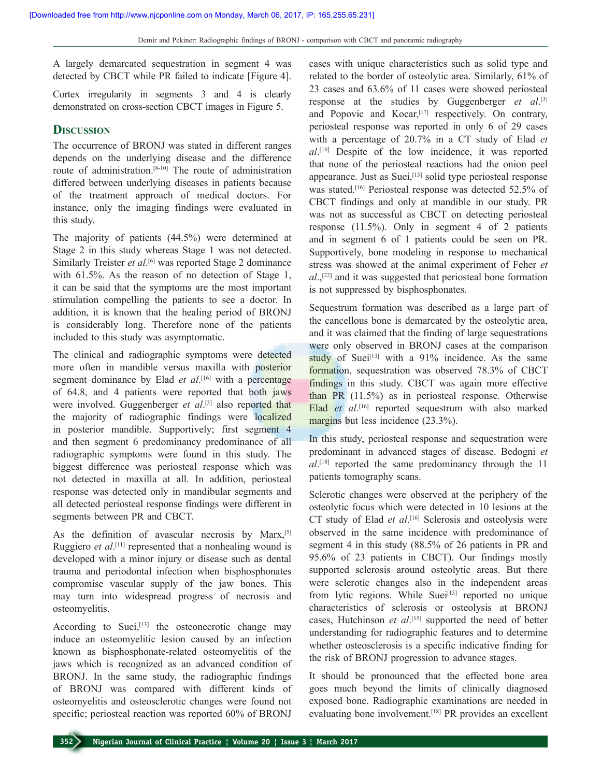A largely demarcated sequestration in segment 4 was detected by CBCT while PR failed to indicate [Figure 4].

Cortex irregularity in segments 3 and 4 is clearly demonstrated on cross-section CBCT images in Figure 5.

#### **Discussion**

The occurrence of BRONJ was stated in different ranges depends on the underlying disease and the difference route of administration.[8-10] The route of administration differed between underlying diseases in patients because of the treatment approach of medical doctors. For instance, only the imaging findings were evaluated in this study.

The majority of patients (44.5%) were determined at Stage 2 in this study whereas Stage 1 was not detected. Similarly Treister et al.<sup>[6]</sup> was reported Stage 2 dominance with 61.5%. As the reason of no detection of Stage 1, it can be said that the symptoms are the most important stimulation compelling the patients to see a doctor. In addition, it is known that the healing period of BRONJ is considerably long. Therefore none of the patients included to this study was asymptomatic.

The clinical and radiographic symptoms were detected more often in mandible versus maxilla with posterior segment dominance by Elad *et al*.<sup>[16]</sup> with a percentage of 64.8, and 4 patients were reported that both jaws were involved. Guggenberger *et al*.<sup>[3]</sup> also reported that the majority of radiographic findings were localized in posterior mandible. Supportively; first segment 4 and then segment 6 predominancy predominance of all radiographic symptoms were found in this study. The biggest difference was periosteal response which was not detected in maxilla at all. In addition, periosteal response was detected only in mandibular segments and all detected periosteal response findings were different in segments between PR and CBCT.

As the definition of avascular necrosis by Marx,<sup>[5]</sup> Ruggiero *et al*.<sup>[11]</sup> represented that a nonhealing wound is developed with a minor injury or disease such as dental trauma and periodontal infection when bisphosphonates compromise vascular supply of the jaw bones. This may turn into widespread progress of necrosis and osteomyelitis.

According to Suei, $[13]$  the osteonecrotic change may induce an osteomyelitic lesion caused by an infection known as bisphosphonate-related osteomyelitis of the jaws which is recognized as an advanced condition of BRONJ. In the same study, the radiographic findings of BRONJ was compared with different kinds of osteomyelitis and osteosclerotic changes were found not specific; periosteal reaction was reported 60% of BRONJ

cases with unique characteristics such as solid type and related to the border of osteolytic area. Similarly, 61% of 23 cases and 63.6% of 11 cases were showed periosteal response at the studies by Guggenberger *et al*. [3] and Popovic and Kocar,<sup>[17]</sup> respectively. On contrary, periosteal response was reported in only 6 of 29 cases with a percentage of 20.7% in a CT study of Elad *et al*. [16] Despite of the low incidence, it was reported that none of the periosteal reactions had the onion peel appearance. Just as Suei,<sup>[13]</sup> solid type periosteal response was stated.<sup>[16]</sup> Periosteal response was detected 52.5% of CBCT findings and only at mandible in our study. PR was not as successful as CBCT on detecting periosteal response (11.5%). Only in segment 4 of 2 patients and in segment 6 of 1 patients could be seen on PR. Supportively, bone modeling in response to mechanical stress was showed at the animal experiment of Feher *et al*.<sup>[22]</sup> and it was suggested that periosteal bone formation is not suppressed by bisphosphonates.

Sequestrum formation was described as a large part of the cancellous bone is demarcated by the osteolytic area, and it was claimed that the finding of large sequestrations were only observed in BRONJ cases at the comparison study of Suei<sup>[13]</sup> with a  $91\%$  incidence. As the same formation, sequestration was observed 78.3% of CBCT findings in this study. CBCT was again more effective than PR (11.5%) as in periosteal response. Otherwise Elad *et al*.<sup>[16]</sup> reported sequestrum with also marked margins but less incidence (23.3%).

In this study, periosteal response and sequestration were predominant in advanced stages of disease. Bedogni *et al*. [18] reported the same predominancy through the 11 patients tomography scans.

Sclerotic changes were observed at the periphery of the osteolytic focus which were detected in 10 lesions at the CT study of Elad *et al*. [16] Sclerosis and osteolysis were observed in the same incidence with predominance of segment 4 in this study (88.5% of 26 patients in PR and 95.6% of 23 patients in CBCT). Our findings mostly supported sclerosis around osteolytic areas. But there were sclerotic changes also in the independent areas from lytic regions. While Suei<sup>[13]</sup> reported no unique characteristics of sclerosis or osteolysis at BRONJ cases, Hutchinson *et al*. [15] supported the need of better understanding for radiographic features and to determine whether osteosclerosis is a specific indicative finding for the risk of BRONJ progression to advance stages.

It should be pronounced that the effected bone area goes much beyond the limits of clinically diagnosed exposed bone. Radiographic examinations are needed in evaluating bone involvement.<sup>[18]</sup> PR provides an excellent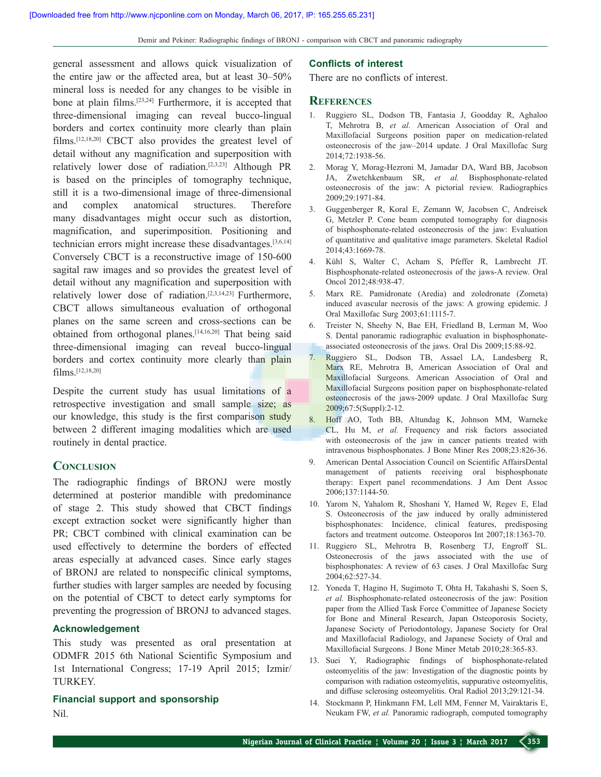general assessment and allows quick visualization of the entire jaw or the affected area, but at least 30–50% mineral loss is needed for any changes to be visible in bone at plain films.[23,24] Furthermore, it is accepted that three-dimensional imaging can reveal bucco-lingual borders and cortex continuity more clearly than plain films.[12,18,20] CBCT also provides the greatest level of detail without any magnification and superposition with relatively lower dose of radiation.[2,3,23] Although PR is based on the principles of tomography technique, still it is a two-dimensional image of three-dimensional and complex anatomical structures. Therefore many disadvantages might occur such as distortion, magnification, and superimposition. Positioning and technician errors might increase these disadvantages.[3,6,14] Conversely CBCT is a reconstructive image of 150-600 sagital raw images and so provides the greatest level of detail without any magnification and superposition with relatively lower dose of radiation.[2,3,14,23] Furthermore, CBCT allows simultaneous evaluation of orthogonal planes on the same screen and cross-sections can be obtained from orthogonal planes.[14,16,20] That being said three-dimensional imaging can reveal bucco-lingual borders and cortex continuity more clearly than plain films.[12,18,20]

Despite the current study has usual limitations of a retrospective investigation and small sample size; as our knowledge, this study is the first comparison study between 2 different imaging modalities which are used routinely in dental practice.

## **Conclusion**

The radiographic findings of BRONJ were mostly determined at posterior mandible with predominance of stage 2. This study showed that CBCT findings except extraction socket were significantly higher than PR; CBCT combined with clinical examination can be used effectively to determine the borders of effected areas especially at advanced cases. Since early stages of BRONJ are related to nonspecific clinical symptoms, further studies with larger samples are needed by focusing on the potential of CBCT to detect early symptoms for preventing the progression of BRONJ to advanced stages.

#### **Acknowledgement**

This study was presented as oral presentation at ODMFR 2015 6th National Scientific Symposium and 1st International Congress; 17-19 April 2015; Izmir/ TURKEY.

**Financial support and sponsorship** Nil.

#### **Conflicts of interest**

There are no conflicts of interest.

#### **References**

- 1. Ruggiero SL, Dodson TB, Fantasia J, Goodday R, Aghaloo T, Mehrotra B, *et al.* American Association of Oral and Maxillofacial Surgeons position paper on medication-related osteonecrosis of the jaw–2014 update. J Oral Maxillofac Surg 2014;72:1938-56.
- 2. Morag Y, Morag-Hezroni M, Jamadar DA, Ward BB, Jacobson JA, Zwetchkenbaum SR, *et al.* Bisphosphonate-related osteonecrosis of the jaw: A pictorial review. Radiographics 2009;29:1971-84.
- 3. Guggenberger R, Koral E, Zemann W, Jacobsen C, Andreisek G, Metzler P. Cone beam computed tomography for diagnosis of bisphosphonate-related osteonecrosis of the jaw: Evaluation of quantitative and qualitative image parameters. Skeletal Radiol 2014;43:1669-78.
- 4. Kühl S, Walter C, Acham S, Pfeffer R, Lambrecht JT. Bisphosphonate-related osteonecrosis of the jaws-A review. Oral Oncol 2012;48:938-47.
- 5. Marx RE. Pamidronate (Aredia) and zoledronate (Zometa) induced avascular necrosis of the jaws: A growing epidemic. J Oral Maxillofac Surg 2003;61:1115-7.
- 6. Treister N, Sheehy N, Bae EH, Friedland B, Lerman M, Woo S. Dental panoramic radiographic evaluation in bisphosphonateassociated osteonecrosis of the jaws. Oral Dis 2009;15:88-92.
- 7. Ruggiero SL, Dodson TB, Assael LA, Landesberg R, Marx RE, Mehrotra B, American Association of Oral and Maxillofacial Surgeons. American Association of Oral and Maxillofacial Surgeons position paper on bisphosphonate-related osteonecrosis of the jaws-2009 update. J Oral Maxillofac Surg 2009;67:5(Suppl):2-12.
- 8. Hoff AO, Toth BB, Altundag K, Johnson MM, Warneke CL, Hu M, *et al.* Frequency and risk factors associated with osteonecrosis of the jaw in cancer patients treated with intravenous bisphosphonates. J Bone Miner Res 2008;23:826-36.
- 9. American Dental Association Council on Scientific AffairsDental management of patients receiving oral bisphosphonate therapy: Expert panel recommendations. J Am Dent Assoc 2006;137:1144-50.
- 10. Yarom N, Yahalom R, Shoshani Y, Hamed W, Regev E, Elad S. Osteonecrosis of the jaw induced by orally administered bisphosphonates: Incidence, clinical features, predisposing factors and treatment outcome. Osteoporos Int 2007;18:1363-70.
- 11. Ruggiero SL, Mehrotra B, Rosenberg TJ, Engroff SL. Osteonecrosis of the jaws associated with the use of bisphosphonates: A review of 63 cases. J Oral Maxillofac Surg 2004;62:527-34.
- 12. Yoneda T, Hagino H, Sugimoto T, Ohta H, Takahashi S, Soen S, *et al.* Bisphosphonate-related osteonecrosis of the jaw: Position paper from the Allied Task Force Committee of Japanese Society for Bone and Mineral Research, Japan Osteoporosis Society, Japanese Society of Periodontology, Japanese Society for Oral and Maxillofacial Radiology, and Japanese Society of Oral and Maxillofacial Surgeons. J Bone Miner Metab 2010;28:365-83.
- 13. Suei Y, Radiographic findings of bisphosphonate-related osteomyelitis of the jaw: Investigation of the diagnostic points by comparison with radiation osteomyelitis, suppurative osteomyelitis, and diffuse sclerosing osteomyelitis. Oral Radiol 2013;29:121-34.
- 14. Stockmann P, Hinkmann FM, Lell MM, Fenner M, Vairaktaris E, Neukam FW, *et al.* Panoramic radiograph, computed tomography